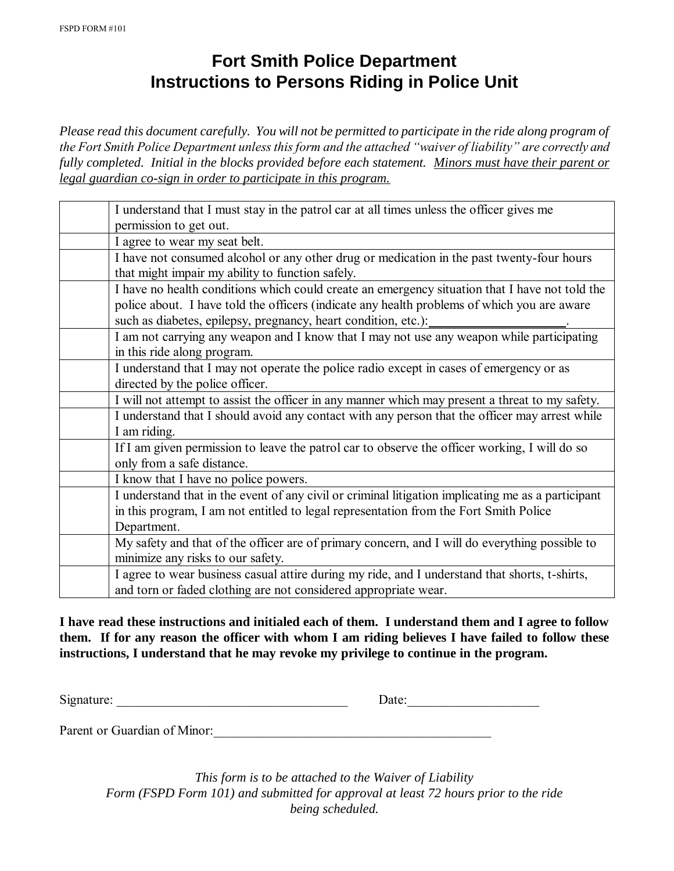## **Fort Smith Police Department Instructions to Persons Riding in Police Unit**

*Please read this document carefully. You will not be permitted to participate in the ride along program of the Fort Smith Police Department unless this form and the attached "waiver of liability" are correctly and fully completed. Initial in the blocks provided before each statement. Minors must have their parent or legal guardian co-sign in order to participate in this program.*

| I understand that I must stay in the patrol car at all times unless the officer gives me           |  |  |  |  |
|----------------------------------------------------------------------------------------------------|--|--|--|--|
| permission to get out.                                                                             |  |  |  |  |
| I agree to wear my seat belt.                                                                      |  |  |  |  |
| I have not consumed alcohol or any other drug or medication in the past twenty-four hours          |  |  |  |  |
| that might impair my ability to function safely.                                                   |  |  |  |  |
| I have no health conditions which could create an emergency situation that I have not told the     |  |  |  |  |
| police about. I have told the officers (indicate any health problems of which you are aware        |  |  |  |  |
| such as diabetes, epilepsy, pregnancy, heart condition, etc.):                                     |  |  |  |  |
| I am not carrying any weapon and I know that I may not use any weapon while participating          |  |  |  |  |
| in this ride along program.                                                                        |  |  |  |  |
| I understand that I may not operate the police radio except in cases of emergency or as            |  |  |  |  |
| directed by the police officer.                                                                    |  |  |  |  |
| I will not attempt to assist the officer in any manner which may present a threat to my safety.    |  |  |  |  |
| I understand that I should avoid any contact with any person that the officer may arrest while     |  |  |  |  |
| I am riding.                                                                                       |  |  |  |  |
| If I am given permission to leave the patrol car to observe the officer working, I will do so      |  |  |  |  |
| only from a safe distance.                                                                         |  |  |  |  |
| I know that I have no police powers.                                                               |  |  |  |  |
| I understand that in the event of any civil or criminal litigation implicating me as a participant |  |  |  |  |
| in this program, I am not entitled to legal representation from the Fort Smith Police              |  |  |  |  |
| Department.                                                                                        |  |  |  |  |
| My safety and that of the officer are of primary concern, and I will do everything possible to     |  |  |  |  |
| minimize any risks to our safety.                                                                  |  |  |  |  |
| I agree to wear business casual attire during my ride, and I understand that shorts, t-shirts,     |  |  |  |  |
| and torn or faded clothing are not considered appropriate wear.                                    |  |  |  |  |

**I have read these instructions and initialed each of them. I understand them and I agree to follow them. If for any reason the officer with whom I am riding believes I have failed to follow these instructions, I understand that he may revoke my privilege to continue in the program.** 

Signature: \_\_\_\_\_\_\_\_\_\_\_\_\_\_\_\_\_\_\_\_\_\_\_\_\_\_\_\_\_\_\_\_\_\_\_ Date:\_\_\_\_\_\_\_\_\_\_\_\_\_\_\_\_\_\_\_\_

Parent or Guardian of Minor:

*This form is to be attached to the Waiver of Liability Form (FSPD Form 101) and submitted for approval at least 72 hours prior to the ride being scheduled.*